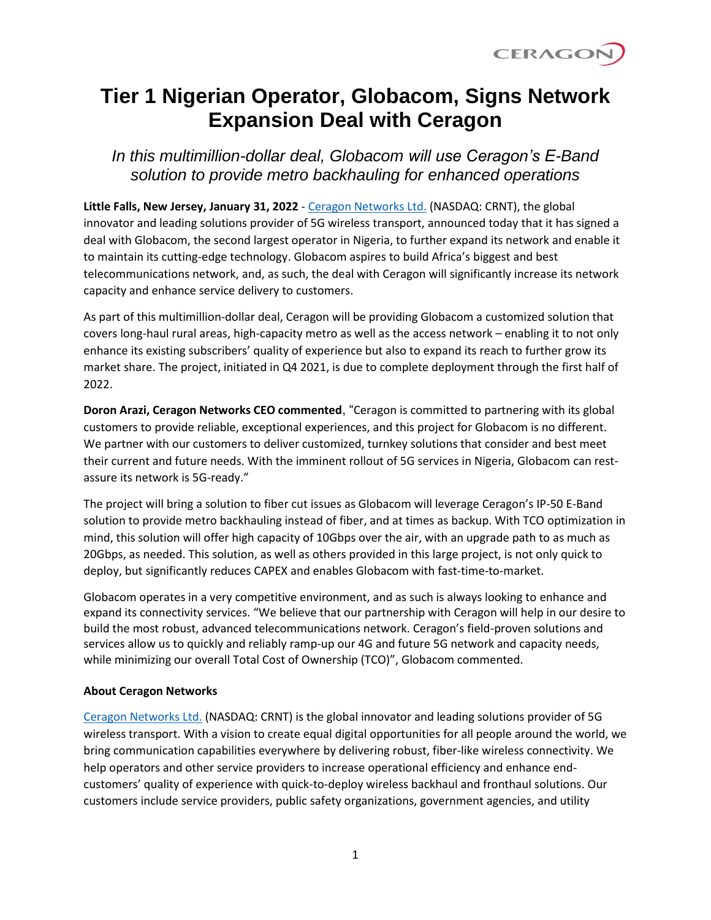

## **Tier 1 Nigerian Operator, Globacom, Signs Network Expansion Deal with Ceragon**

*In this multimillion-dollar deal, Globacom will use Ceragon's E-Band solution to provide metro backhauling for enhanced operations*

**Little Falls, New Jersey, January 31, 2022** - [Ceragon Networks Ltd.](https://www.ceragon.com/) (NASDAQ: CRNT), the global innovator and leading solutions provider of 5G wireless transport, announced today that it has signed a deal with Globacom, the second largest operator in Nigeria, to further expand its network and enable it to maintain its cutting-edge technology. Globacom aspires to build Africa's biggest and best telecommunications network, and, as such, the deal with Ceragon will significantly increase its network capacity and enhance service delivery to customers.

As part of this multimillion-dollar deal, Ceragon will be providing Globacom a customized solution that covers long-haul rural areas, high-capacity metro as well as the access network – enabling it to not only enhance its existing subscribers' quality of experience but also to expand its reach to further grow its market share. The project, initiated in Q4 2021, is due to complete deployment through the first half of 2022.

**Doron Arazi, Ceragon Networks CEO commented**, "Ceragon is committed to partnering with its global customers to provide reliable, exceptional experiences, and this project for Globacom is no different. We partner with our customers to deliver customized, turnkey solutions that consider and best meet their current and future needs. With the imminent rollout of 5G services in Nigeria, Globacom can restassure its network is 5G-ready."

The project will bring a solution to fiber cut issues as Globacom will leverage Ceragon's IP-50 E-Band solution to provide metro backhauling instead of fiber, and at times as backup. With TCO optimization in mind, this solution will offer high capacity of 10Gbps over the air, with an upgrade path to as much as 20Gbps, as needed. This solution, as well as others provided in this large project, is not only quick to deploy, but significantly reduces CAPEX and enables Globacom with fast-time-to-market.

Globacom operates in a very competitive environment, and as such is always looking to enhance and expand its connectivity services. "We believe that our partnership with Ceragon will help in our desire to build the most robust, advanced telecommunications network. Ceragon's field-proven solutions and services allow us to quickly and reliably ramp-up our 4G and future 5G network and capacity needs, while minimizing our overall Total Cost of Ownership (TCO)", Globacom commented.

## **About Ceragon Networks**

[Ceragon Networks Ltd.](http://www.ceragon.com/) (NASDAQ: CRNT) is the global innovator and leading solutions provider of 5G wireless transport. With a vision to create equal digital opportunities for all people around the world, we bring communication capabilities everywhere by delivering robust, fiber-like wireless connectivity. We help operators and other service providers to increase operational efficiency and enhance endcustomers' quality of experience with quick-to-deploy wireless backhaul and fronthaul solutions. Our customers include service providers, public safety organizations, government agencies, and utility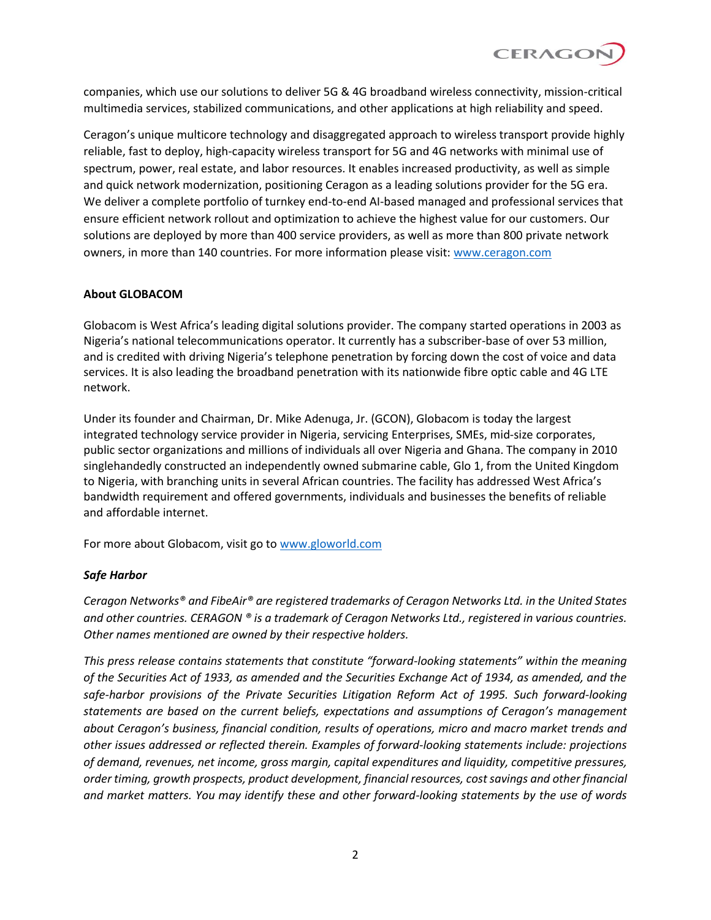

companies, which use our solutions to deliver 5G & 4G broadband wireless connectivity, mission-critical multimedia services, stabilized communications, and other applications at high reliability and speed.

Ceragon's unique multicore technology and disaggregated approach to wireless transport provide highly reliable, fast to deploy, high-capacity wireless transport for 5G and 4G networks with minimal use of spectrum, power, real estate, and labor resources. It enables increased productivity, as well as simple and quick network modernization, positioning Ceragon as a leading solutions provider for the 5G era. We deliver a complete portfolio of turnkey end-to-end AI-based managed and professional services that ensure efficient network rollout and optimization to achieve the highest value for our customers. Our solutions are deployed by more than 400 service providers, as well as more than 800 private network owners, in more than 140 countries. For more information please visit: [www.ceragon.com](http://www.ceragon.com/)

## **About GLOBACOM**

Globacom is West Africa's leading digital solutions provider. The company started operations in 2003 as Nigeria's national telecommunications operator. It currently has a subscriber-base of over 53 million, and is credited with driving Nigeria's telephone penetration by forcing down the cost of voice and data services. It is also leading the broadband penetration with its nationwide fibre optic cable and 4G LTE network.

Under its founder and Chairman, Dr. Mike Adenuga, Jr. (GCON), Globacom is today the largest integrated technology service provider in Nigeria, servicing Enterprises, SMEs, mid-size corporates, public sector organizations and millions of individuals all over Nigeria and Ghana. The company in 2010 singlehandedly constructed an independently owned submarine cable, Glo 1, from the United Kingdom to Nigeria, with branching units in several African countries. The facility has addressed West Africa's bandwidth requirement and offered governments, individuals and businesses the benefits of reliable and affordable internet.

For more about Globacom, visit go to [www.gloworld.com](http://www.gloworld.com/)

## *Safe Harbor*

*Ceragon Networks® and FibeAir® are registered trademarks of Ceragon Networks Ltd. in the United States and other countries. CERAGON ® is a trademark of Ceragon Networks Ltd., registered in various countries. Other names mentioned are owned by their respective holders.*

*This press release contains statements that constitute "forward-looking statements" within the meaning of the Securities Act of 1933, as amended and the Securities Exchange Act of 1934, as amended, and the safe-harbor provisions of the Private Securities Litigation Reform Act of 1995. Such forward-looking statements are based on the current beliefs, expectations and assumptions of Ceragon's management about Ceragon's business, financial condition, results of operations, micro and macro market trends and other issues addressed or reflected therein. Examples of forward-looking statements include: projections of demand, revenues, net income, gross margin, capital expenditures and liquidity, competitive pressures, order timing, growth prospects, product development, financial resources, cost savings and other financial and market matters. You may identify these and other forward-looking statements by the use of words*